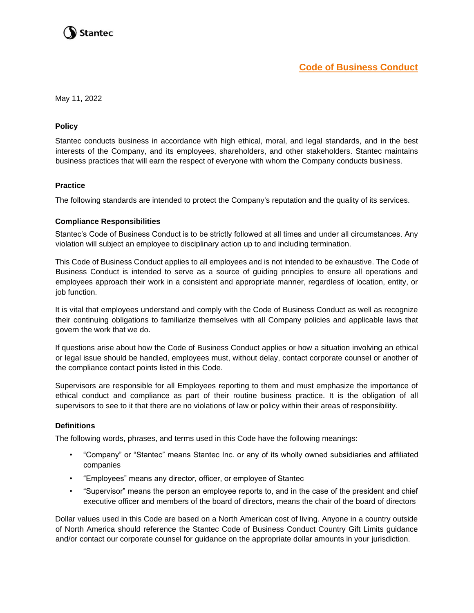

May 11, 2022

#### **Policy**

Stantec conducts business in accordance with high ethical, moral, and legal standards, and in the best interests of the Company, and its employees, shareholders, and other stakeholders. Stantec maintains business practices that will earn the respect of everyone with whom the Company conducts business.

#### **Practice**

The following standards are intended to protect the Company's reputation and the quality of its services.

#### **Compliance Responsibilities**

Stantec's Code of Business Conduct is to be strictly followed at all times and under all circumstances. Any violation will subject an employee to disciplinary action up to and including termination.

This Code of Business Conduct applies to all employees and is not intended to be exhaustive. The Code of Business Conduct is intended to serve as a source of guiding principles to ensure all operations and employees approach their work in a consistent and appropriate manner, regardless of location, entity, or job function.

It is vital that employees understand and comply with the Code of Business Conduct as well as recognize their continuing obligations to familiarize themselves with all Company policies and applicable laws that govern the work that we do.

If questions arise about how the Code of Business Conduct applies or how a situation involving an ethical or legal issue should be handled, employees must, without delay, contact corporate counsel or another of the compliance contact points listed in this Code.

Supervisors are responsible for all Employees reporting to them and must emphasize the importance of ethical conduct and compliance as part of their routine business practice. It is the obligation of all supervisors to see to it that there are no violations of law or policy within their areas of responsibility.

#### **Definitions**

The following words, phrases, and terms used in this Code have the following meanings:

- "Company" or "Stantec" means Stantec Inc. or any of its wholly owned subsidiaries and affiliated companies
- "Employees" means any director, officer, or employee of Stantec
- "Supervisor" means the person an employee reports to, and in the case of the president and chief executive officer and members of the board of directors, means the chair of the board of directors

Dollar values used in this Code are based on a North American cost of living. Anyone in a country outside of North America should reference the Stantec Code of Business Conduct Country Gift Limits guidance and/or contact our corporate counsel for guidance on the appropriate dollar amounts in your jurisdiction.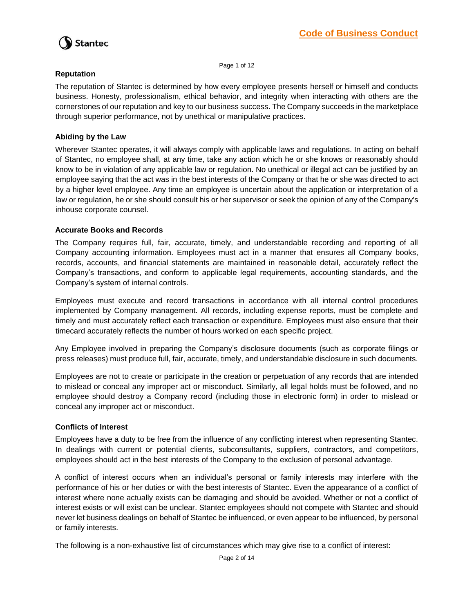

Page 1 of 12

### **Reputation**

The reputation of Stantec is determined by how every employee presents herself or himself and conducts business. Honesty, professionalism, ethical behavior, and integrity when interacting with others are the cornerstones of our reputation and key to our business success. The Company succeeds in the marketplace through superior performance, not by unethical or manipulative practices.

## **Abiding by the Law**

Wherever Stantec operates, it will always comply with applicable laws and regulations. In acting on behalf of Stantec, no employee shall, at any time, take any action which he or she knows or reasonably should know to be in violation of any applicable law or regulation. No unethical or illegal act can be justified by an employee saying that the act was in the best interests of the Company or that he or she was directed to act by a higher level employee. Any time an employee is uncertain about the application or interpretation of a law or regulation, he or she should consult his or her supervisor or seek the opinion of any of the Company's inhouse corporate counsel.

### **Accurate Books and Records**

The Company requires full, fair, accurate, timely, and understandable recording and reporting of all Company accounting information. Employees must act in a manner that ensures all Company books, records, accounts, and financial statements are maintained in reasonable detail, accurately reflect the Company's transactions, and conform to applicable legal requirements, accounting standards, and the Company's system of internal controls.

Employees must execute and record transactions in accordance with all internal control procedures implemented by Company management. All records, including expense reports, must be complete and timely and must accurately reflect each transaction or expenditure. Employees must also ensure that their timecard accurately reflects the number of hours worked on each specific project.

Any Employee involved in preparing the Company's disclosure documents (such as corporate filings or press releases) must produce full, fair, accurate, timely, and understandable disclosure in such documents.

Employees are not to create or participate in the creation or perpetuation of any records that are intended to mislead or conceal any improper act or misconduct. Similarly, all legal holds must be followed, and no employee should destroy a Company record (including those in electronic form) in order to mislead or conceal any improper act or misconduct.

#### **Conflicts of Interest**

Employees have a duty to be free from the influence of any conflicting interest when representing Stantec. In dealings with current or potential clients, subconsultants, suppliers, contractors, and competitors, employees should act in the best interests of the Company to the exclusion of personal advantage.

A conflict of interest occurs when an individual's personal or family interests may interfere with the performance of his or her duties or with the best interests of Stantec. Even the appearance of a conflict of interest where none actually exists can be damaging and should be avoided. Whether or not a conflict of interest exists or will exist can be unclear. Stantec employees should not compete with Stantec and should never let business dealings on behalf of Stantec be influenced, or even appear to be influenced, by personal or family interests.

The following is a non-exhaustive list of circumstances which may give rise to a conflict of interest: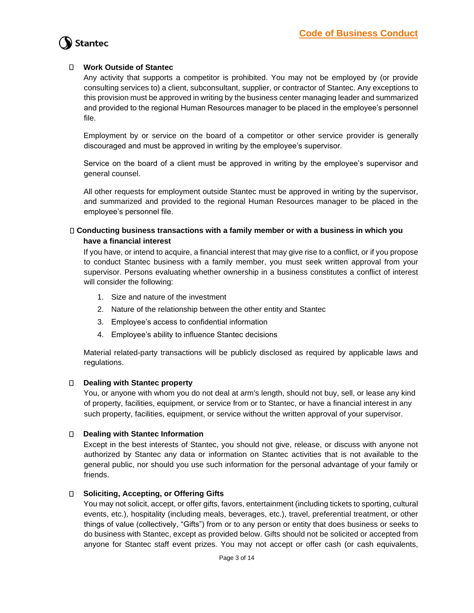### **Work Outside of Stantec**

Any activity that supports a competitor is prohibited. You may not be employed by (or provide consulting services to) a client, subconsultant, supplier, or contractor of Stantec. Any exceptions to this provision must be approved in writing by the business center managing leader and summarized and provided to the regional Human Resources manager to be placed in the employee's personnel file.

Employment by or service on the board of a competitor or other service provider is generally discouraged and must be approved in writing by the employee's supervisor.

Service on the board of a client must be approved in writing by the employee's supervisor and general counsel.

All other requests for employment outside Stantec must be approved in writing by the supervisor, and summarized and provided to the regional Human Resources manager to be placed in the employee's personnel file.

### **Conducting business transactions with a family member or with a business in which you have a financial interest**

If you have, or intend to acquire, a financial interest that may give rise to a conflict, or if you propose to conduct Stantec business with a family member, you must seek written approval from your supervisor. Persons evaluating whether ownership in a business constitutes a conflict of interest will consider the following:

- 1. Size and nature of the investment
- 2. Nature of the relationship between the other entity and Stantec
- 3. Employee's access to confidential information
- 4. Employee's ability to influence Stantec decisions

Material related-party transactions will be publicly disclosed as required by applicable laws and regulations.

#### **Dealing with Stantec property**

You, or anyone with whom you do not deal at arm's length, should not buy, sell, or lease any kind of property, facilities, equipment, or service from or to Stantec, or have a financial interest in any such property, facilities, equipment, or service without the written approval of your supervisor.

#### **Dealing with Stantec Information**

Except in the best interests of Stantec, you should not give, release, or discuss with anyone not authorized by Stantec any data or information on Stantec activities that is not available to the general public, nor should you use such information for the personal advantage of your family or friends.

## **Soliciting, Accepting, or Offering Gifts**

You may not solicit, accept, or offer gifts, favors, entertainment (including tickets to sporting, cultural events, etc.), hospitality (including meals, beverages, etc.), travel, preferential treatment, or other things of value (collectively, "Gifts") from or to any person or entity that does business or seeks to do business with Stantec, except as provided below. Gifts should not be solicited or accepted from anyone for Stantec staff event prizes. You may not accept or offer cash (or cash equivalents,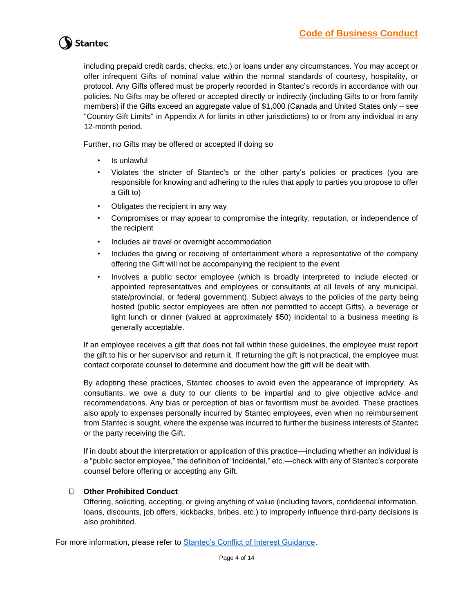including prepaid credit cards, checks, etc.) or loans under any circumstances. You may accept or offer infrequent Gifts of nominal value within the normal standards of courtesy, hospitality, or protocol. Any Gifts offered must be properly recorded in Stantec's records in accordance with our policies. No Gifts may be offered or accepted directly or indirectly (including Gifts to or from family members) if the Gifts exceed an aggregate value of \$1,000 (Canada and United States only – see "Country Gift Limits" in Appendix A for limits in other jurisdictions) to or from any individual in any 12-month period.

Further, no Gifts may be offered or accepted if doing so

- Is unlawful
- Violates the stricter of Stantec's or the other party's policies or practices (you are responsible for knowing and adhering to the rules that apply to parties you propose to offer a Gift to)
- Obligates the recipient in any way
- Compromises or may appear to compromise the integrity, reputation, or independence of the recipient
- Includes air travel or overnight accommodation
- Includes the giving or receiving of entertainment where a representative of the company offering the Gift will not be accompanying the recipient to the event
- Involves a public sector employee (which is broadly interpreted to include elected or appointed representatives and employees or consultants at all levels of any municipal, state/provincial, or federal government). Subject always to the policies of the party being hosted (public sector employees are often not permitted to accept Gifts), a beverage or light lunch or dinner (valued at approximately \$50) incidental to a business meeting is generally acceptable.

If an employee receives a gift that does not fall within these guidelines, the employee must report the gift to his or her supervisor and return it. If returning the gift is not practical, the employee must contact corporate counsel to determine and document how the gift will be dealt with.

By adopting these practices, Stantec chooses to avoid even the appearance of impropriety. As consultants, we owe a duty to our clients to be impartial and to give objective advice and recommendations. Any bias or perception of bias or favoritism must be avoided. These practices also apply to expenses personally incurred by Stantec employees, even when no reimbursement from Stantec is sought, where the expense was incurred to further the business interests of Stantec or the party receiving the Gift.

If in doubt about the interpretation or application of this practice—including whether an individual is a "public sector employee," the definition of "incidental," etc.—check with any of Stantec's corporate counsel before offering or accepting any Gift.

## **Other Prohibited Conduct**

Offering, soliciting, accepting, or giving anything of value (including favors, confidential information, loans, discounts, job offers, kickbacks, bribes, etc.) to improperly influence third-party decisions is also prohibited.

For more information, please refer to **Stantec's Conflict of Interest Guidance**.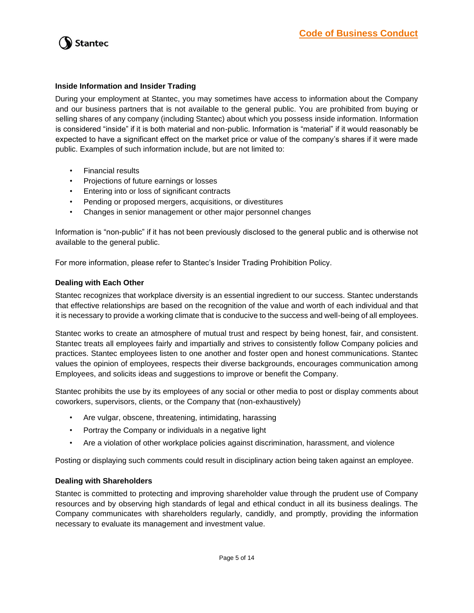

#### **Inside Information and Insider Trading**

During your employment at Stantec, you may sometimes have access to information about the Company and our business partners that is not available to the general public. You are prohibited from buying or selling shares of any company (including Stantec) about which you possess inside information. Information is considered "inside" if it is both material and non-public. Information is "material" if it would reasonably be expected to have a significant effect on the market price or value of the company's shares if it were made public. Examples of such information include, but are not limited to:

- Financial results
- Projections of future earnings or losses
- Entering into or loss of significant contracts
- Pending or proposed mergers, acquisitions, or divestitures
- Changes in senior management or other major personnel changes

Information is "non-public" if it has not been previously disclosed to the general public and is otherwise not available to the general public.

For more information, please refer to Stantec's Insider Trading Prohibition Policy.

#### **Dealing with Each Other**

Stantec recognizes that workplace diversity is an essential ingredient to our success. Stantec understands that effective relationships are based on the recognition of the value and worth of each individual and that it is necessary to provide a working climate that is conducive to the success and well-being of all employees.

Stantec works to create an atmosphere of mutual trust and respect by being honest, fair, and consistent. Stantec treats all employees fairly and impartially and strives to consistently follow Company policies and practices. Stantec employees listen to one another and foster open and honest communications. Stantec values the opinion of employees, respects their diverse backgrounds, encourages communication among Employees, and solicits ideas and suggestions to improve or benefit the Company.

Stantec prohibits the use by its employees of any social or other media to post or display comments about coworkers, supervisors, clients, or the Company that (non-exhaustively)

- Are vulgar, obscene, threatening, intimidating, harassing
- Portray the Company or individuals in a negative light
- Are a violation of other workplace policies against discrimination, harassment, and violence

Posting or displaying such comments could result in disciplinary action being taken against an employee.

#### **Dealing with Shareholders**

Stantec is committed to protecting and improving shareholder value through the prudent use of Company resources and by observing high standards of legal and ethical conduct in all its business dealings. The Company communicates with shareholders regularly, candidly, and promptly, providing the information necessary to evaluate its management and investment value.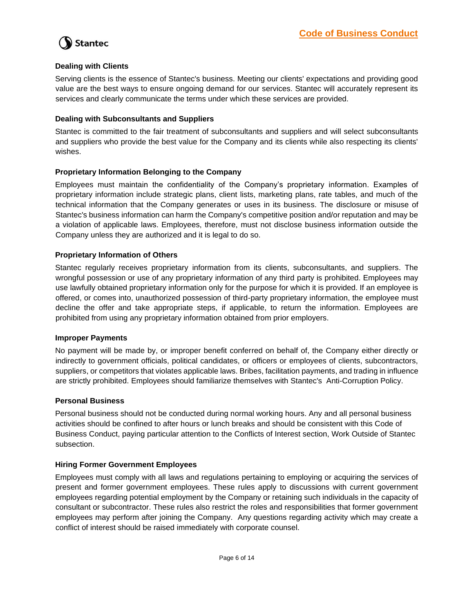

#### **Dealing with Clients**

Serving clients is the essence of Stantec's business. Meeting our clients' expectations and providing good value are the best ways to ensure ongoing demand for our services. Stantec will accurately represent its services and clearly communicate the terms under which these services are provided.

### **Dealing with Subconsultants and Suppliers**

Stantec is committed to the fair treatment of subconsultants and suppliers and will select subconsultants and suppliers who provide the best value for the Company and its clients while also respecting its clients' wishes.

### **Proprietary Information Belonging to the Company**

Employees must maintain the confidentiality of the Company's proprietary information. Examples of proprietary information include strategic plans, client lists, marketing plans, rate tables, and much of the technical information that the Company generates or uses in its business. The disclosure or misuse of Stantec's business information can harm the Company's competitive position and/or reputation and may be a violation of applicable laws. Employees, therefore, must not disclose business information outside the Company unless they are authorized and it is legal to do so.

#### **Proprietary Information of Others**

Stantec regularly receives proprietary information from its clients, subconsultants, and suppliers. The wrongful possession or use of any proprietary information of any third party is prohibited. Employees may use lawfully obtained proprietary information only for the purpose for which it is provided. If an employee is offered, or comes into, unauthorized possession of third-party proprietary information, the employee must decline the offer and take appropriate steps, if applicable, to return the information. Employees are prohibited from using any proprietary information obtained from prior employers.

#### **Improper Payments**

No payment will be made by, or improper benefit conferred on behalf of, the Company either directly or indirectly to government officials, political candidates, or officers or employees of clients, subcontractors, suppliers, or competitors that violates applicable laws. Bribes, facilitation payments, and trading in influence are strictly prohibited. Employees should familiarize themselves with Stantec's Anti-Corruption Policy.

#### **Personal Business**

Personal business should not be conducted during normal working hours. Any and all personal business activities should be confined to after hours or lunch breaks and should be consistent with this Code of Business Conduct, paying particular attention to the Conflicts of Interest section, Work Outside of Stantec subsection.

#### **Hiring Former Government Employees**

Employees must comply with all laws and regulations pertaining to employing or acquiring the services of present and former government employees. These rules apply to discussions with current government employees regarding potential employment by the Company or retaining such individuals in the capacity of consultant or subcontractor. These rules also restrict the roles and responsibilities that former government employees may perform after joining the Company. Any questions regarding activity which may create a conflict of interest should be raised immediately with corporate counsel.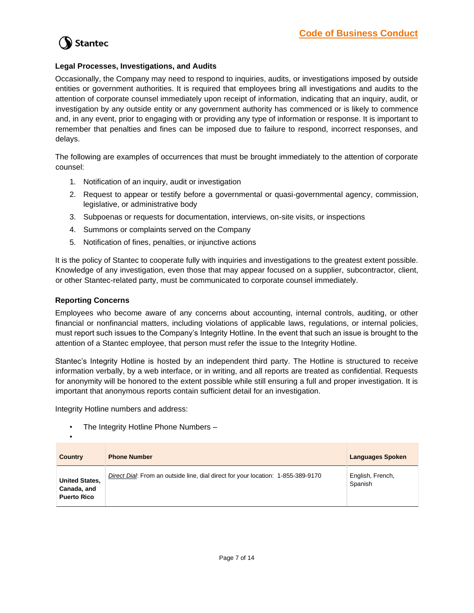

### **Legal Processes, Investigations, and Audits**

Occasionally, the Company may need to respond to inquiries, audits, or investigations imposed by outside entities or government authorities. It is required that employees bring all investigations and audits to the attention of corporate counsel immediately upon receipt of information, indicating that an inquiry, audit, or investigation by any outside entity or any government authority has commenced or is likely to commence and, in any event, prior to engaging with or providing any type of information or response. It is important to remember that penalties and fines can be imposed due to failure to respond, incorrect responses, and delays.

The following are examples of occurrences that must be brought immediately to the attention of corporate counsel:

- 1. Notification of an inquiry, audit or investigation
- 2. Request to appear or testify before a governmental or quasi-governmental agency, commission, legislative, or administrative body
- 3. Subpoenas or requests for documentation, interviews, on-site visits, or inspections
- 4. Summons or complaints served on the Company
- 5. Notification of fines, penalties, or injunctive actions

It is the policy of Stantec to cooperate fully with inquiries and investigations to the greatest extent possible. Knowledge of any investigation, even those that may appear focused on a supplier, subcontractor, client, or other Stantec-related party, must be communicated to corporate counsel immediately.

#### **Reporting Concerns**

•

Employees who become aware of any concerns about accounting, internal controls, auditing, or other financial or nonfinancial matters, including violations of applicable laws, regulations, or internal policies, must report such issues to the Company's Integrity Hotline. In the event that such an issue is brought to the attention of a Stantec employee, that person must refer the issue to the Integrity Hotline.

Stantec's Integrity Hotline is hosted by an independent third party. The Hotline is structured to receive information verbally, by a web interface, or in writing, and all reports are treated as confidential. Requests for anonymity will be honored to the extent possible while still ensuring a full and proper investigation. It is important that anonymous reports contain sufficient detail for an investigation.

Integrity Hotline numbers and address:

• The Integrity Hotline Phone Numbers –

| <b>Country</b>                                             | <b>Phone Number</b>                                                              | <b>Languages Spoken</b>     |
|------------------------------------------------------------|----------------------------------------------------------------------------------|-----------------------------|
| <b>United States,</b><br>Canada, and<br><b>Puerto Rico</b> | Direct Dial: From an outside line, dial direct for your location: 1-855-389-9170 | English, French,<br>Spanish |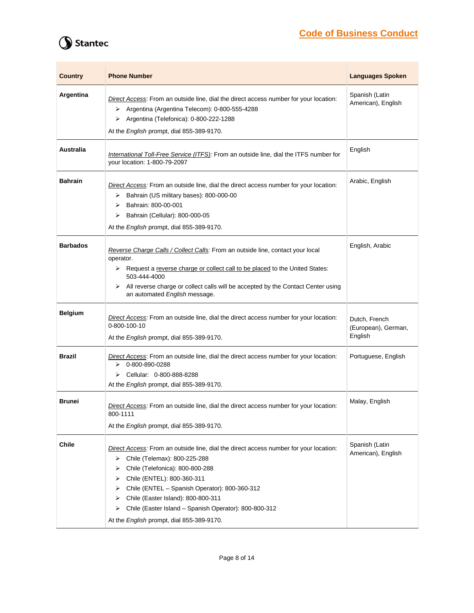# **Code of Business Conduct**

# Stantec

| <b>Country</b>  | <b>Phone Number</b>                                                                                                                                                                                                                                                                                                                                                                                               | <b>Languages Spoken</b>                         |
|-----------------|-------------------------------------------------------------------------------------------------------------------------------------------------------------------------------------------------------------------------------------------------------------------------------------------------------------------------------------------------------------------------------------------------------------------|-------------------------------------------------|
| Argentina       | Direct Access: From an outside line, dial the direct access number for your location:<br>Argentina (Argentina Telecom): 0-800-555-4288<br>➤<br>Argentina (Telefonica): 0-800-222-1288<br>➤<br>At the English prompt, dial 855-389-9170.                                                                                                                                                                           | Spanish (Latin<br>American), English            |
| Australia       | International Toll-Free Service (ITFS): From an outside line, dial the ITFS number for<br>your location: 1-800-79-2097                                                                                                                                                                                                                                                                                            | English                                         |
| <b>Bahrain</b>  | Direct Access: From an outside line, dial the direct access number for your location:<br>Bahrain (US military bases): 800-000-00<br>➤<br>Bahrain: 800-00-001<br>⋗<br>Bahrain (Cellular): 800-000-05<br>➤<br>At the English prompt, dial 855-389-9170.                                                                                                                                                             | Arabic, English                                 |
| <b>Barbados</b> | Reverse Charge Calls / Collect Calls: From an outside line, contact your local<br>operator.<br>▶ Request a reverse charge or collect call to be placed to the United States:<br>503-444-4000<br>All reverse charge or collect calls will be accepted by the Contact Center using<br>⋗<br>an automated English message.                                                                                            | English, Arabic                                 |
| <b>Belgium</b>  | Direct Access: From an outside line, dial the direct access number for your location:<br>0-800-100-10<br>At the English prompt, dial 855-389-9170.                                                                                                                                                                                                                                                                | Dutch, French<br>(European), German,<br>English |
| <b>Brazil</b>   | Direct Access: From an outside line, dial the direct access number for your location:<br>0-800-890-0288<br>➤<br>Cellular: 0-800-888-8288<br>➤<br>At the English prompt, dial 855-389-9170.                                                                                                                                                                                                                        | Portuguese, English                             |
| <b>Brunei</b>   | Direct Access: From an outside line, dial the direct access number for your location:<br>800-1111<br>At the English prompt, dial 855-389-9170.                                                                                                                                                                                                                                                                    | Malay, English                                  |
| <b>Chile</b>    | Direct Access: From an outside line, dial the direct access number for your location:<br>Chile (Telemax): 800-225-288<br>➤<br>Chile (Telefonica): 800-800-288<br>⋗<br>Chile (ENTEL): 800-360-311<br>⋗<br>Chile (ENTEL - Spanish Operator): 800-360-312<br>⋗<br>Chile (Easter Island): 800-800-311<br>⋗<br>Chile (Easter Island - Spanish Operator): 800-800-312<br>➤<br>At the English prompt, dial 855-389-9170. | Spanish (Latin<br>American), English            |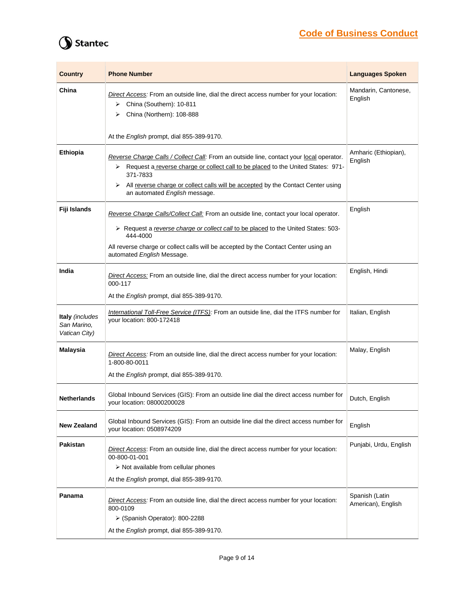# **Code of Business Conduct**

# Stantec

| <b>Country</b>                                  | <b>Phone Number</b>                                                                                                                                                                                                                                                                                                 | <b>Languages Spoken</b>              |
|-------------------------------------------------|---------------------------------------------------------------------------------------------------------------------------------------------------------------------------------------------------------------------------------------------------------------------------------------------------------------------|--------------------------------------|
| China                                           | Direct Access: From an outside line, dial the direct access number for your location:<br>China (Southern): 10-811<br>➤<br>China (Northern): 108-888<br>⋗                                                                                                                                                            | Mandarin, Cantonese,<br>English      |
|                                                 | At the English prompt, dial 855-389-9170.                                                                                                                                                                                                                                                                           |                                      |
| Ethiopia                                        | Reverse Charge Calls / Collect Call: From an outside line, contact your local operator.<br>> Request a reverse charge or collect call to be placed to the United States: 971-<br>371-7833<br>All reverse charge or collect calls will be accepted by the Contact Center using<br>➤<br>an automated English message. | Amharic (Ethiopian),<br>English      |
| Fiji Islands                                    | Reverse Charge Calls/Collect Call: From an outside line, contact your local operator.<br>> Request a reverse charge or collect call to be placed to the United States: 503-<br>444-4000<br>All reverse charge or collect calls will be accepted by the Contact Center using an<br>automated English Message.        | English                              |
| India                                           | Direct Access: From an outside line, dial the direct access number for your location:<br>000-117<br>At the English prompt, dial 855-389-9170.                                                                                                                                                                       | English, Hindi                       |
| Italy (includes<br>San Marino,<br>Vatican City) | International Toll-Free Service (ITFS): From an outside line, dial the ITFS number for<br>your location: 800-172418                                                                                                                                                                                                 | Italian, English                     |
| <b>Malaysia</b>                                 | Direct Access: From an outside line, dial the direct access number for your location:<br>1-800-80-0011<br>At the English prompt, dial 855-389-9170.                                                                                                                                                                 | Malay, English                       |
| <b>Netherlands</b>                              | Global Inbound Services (GIS): From an outside line dial the direct access number for<br>your location: 08000200028                                                                                                                                                                                                 | Dutch, English                       |
| <b>New Zealand</b>                              | Global Inbound Services (GIS): From an outside line dial the direct access number for<br>your location: 0508974209                                                                                                                                                                                                  | English                              |
| <b>Pakistan</b>                                 | Direct Access: From an outside line, dial the direct access number for your location:<br>00-800-01-001<br>$\triangleright$ Not available from cellular phones<br>At the English prompt, dial 855-389-9170.                                                                                                          | Punjabi, Urdu, English               |
| Panama                                          | Direct Access: From an outside line, dial the direct access number for your location:<br>800-0109<br>$\triangleright$ (Spanish Operator): 800-2288<br>At the English prompt, dial 855-389-9170.                                                                                                                     | Spanish (Latin<br>American), English |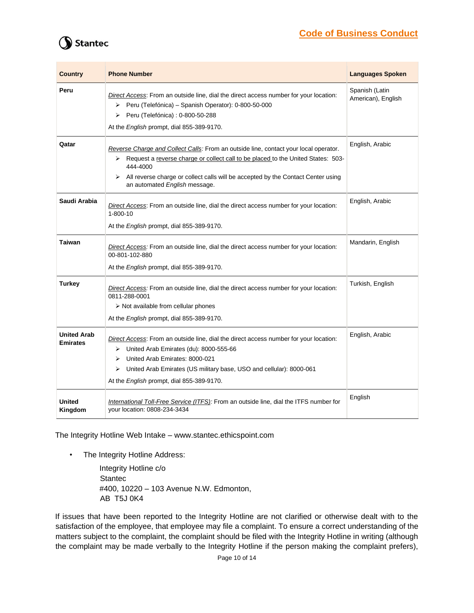# **Code of Business Conduct**

# **Stantec**

| <b>Country</b>                        | <b>Phone Number</b>                                                                                                                                                                                                                                                                                                 | <b>Languages Spoken</b>              |
|---------------------------------------|---------------------------------------------------------------------------------------------------------------------------------------------------------------------------------------------------------------------------------------------------------------------------------------------------------------------|--------------------------------------|
| Peru                                  | Direct Access: From an outside line, dial the direct access number for your location:<br>> Peru (Telefónica) - Spanish Operator): 0-800-50-000<br>Peru (Telefónica) : 0-800-50-288<br>⋗<br>At the English prompt, dial 855-389-9170.                                                                                | Spanish (Latin<br>American), English |
| Qatar                                 | Reverse Charge and Collect Calls: From an outside line, contact your local operator.<br>Request a reverse charge or collect call to be placed to the United States: 503-<br>➤<br>444-4000<br>All reverse charge or collect calls will be accepted by the Contact Center using<br>⋗<br>an automated English message. | English, Arabic                      |
| Saudi Arabia                          | Direct Access: From an outside line, dial the direct access number for your location:<br>$1 - 800 - 10$<br>At the English prompt, dial 855-389-9170.                                                                                                                                                                | English, Arabic                      |
| <b>Taiwan</b>                         | Direct Access: From an outside line, dial the direct access number for your location:<br>00-801-102-880<br>At the English prompt, dial 855-389-9170.                                                                                                                                                                | Mandarin, English                    |
| <b>Turkey</b>                         | Direct Access: From an outside line, dial the direct access number for your location:<br>0811-288-0001<br>$\triangleright$ Not available from cellular phones<br>At the English prompt, dial 855-389-9170.                                                                                                          | Turkish, English                     |
| <b>United Arab</b><br><b>Emirates</b> | Direct Access: From an outside line, dial the direct access number for your location:<br>United Arab Emirates (du): 8000-555-66<br>➤<br>United Arab Emirates: 8000-021<br>➤<br>United Arab Emirates (US military base, USO and cellular): 8000-061<br>➤<br>At the English prompt, dial 855-389-9170.                | English, Arabic                      |
| <b>United</b><br>Kingdom              | International Toll-Free Service (ITFS): From an outside line, dial the ITFS number for<br>your location: 0808-234-3434                                                                                                                                                                                              | English                              |

The Integrity Hotline Web Intake – www.stantec.ethicspoint.com

• The Integrity Hotline Address:

Integrity Hotline c/o Stantec #400, 10220 – 103 Avenue N.W. Edmonton, AB T5J 0K4

If issues that have been reported to the Integrity Hotline are not clarified or otherwise dealt with to the satisfaction of the employee, that employee may file a complaint. To ensure a correct understanding of the matters subject to the complaint, the complaint should be filed with the Integrity Hotline in writing (although the complaint may be made verbally to the Integrity Hotline if the person making the complaint prefers),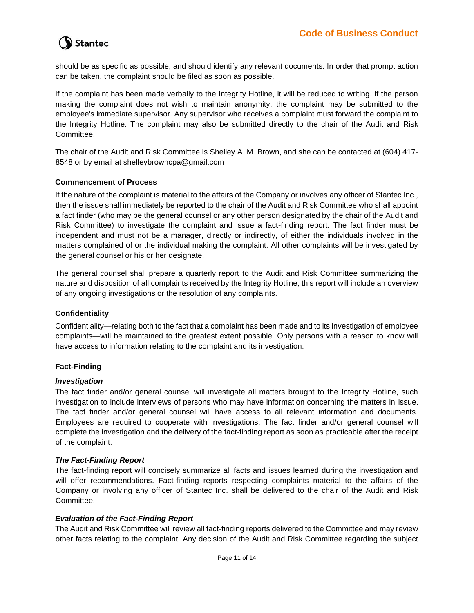should be as specific as possible, and should identify any relevant documents. In order that prompt action can be taken, the complaint should be filed as soon as possible.

If the complaint has been made verbally to the Integrity Hotline, it will be reduced to writing. If the person making the complaint does not wish to maintain anonymity, the complaint may be submitted to the employee's immediate supervisor. Any supervisor who receives a complaint must forward the complaint to the Integrity Hotline. The complaint may also be submitted directly to the chair of the Audit and Risk Committee.

The chair of the Audit and Risk Committee is Shelley A. M. Brown, and she can be contacted at (604) 417- 8548 or by email at shelleybrowncpa@gmail.com

#### **Commencement of Process**

If the nature of the complaint is material to the affairs of the Company or involves any officer of Stantec Inc., then the issue shall immediately be reported to the chair of the Audit and Risk Committee who shall appoint a fact finder (who may be the general counsel or any other person designated by the chair of the Audit and Risk Committee) to investigate the complaint and issue a fact-finding report. The fact finder must be independent and must not be a manager, directly or indirectly, of either the individuals involved in the matters complained of or the individual making the complaint. All other complaints will be investigated by the general counsel or his or her designate.

The general counsel shall prepare a quarterly report to the Audit and Risk Committee summarizing the nature and disposition of all complaints received by the Integrity Hotline; this report will include an overview of any ongoing investigations or the resolution of any complaints.

#### **Confidentiality**

Confidentiality—relating both to the fact that a complaint has been made and to its investigation of employee complaints—will be maintained to the greatest extent possible. Only persons with a reason to know will have access to information relating to the complaint and its investigation.

#### **Fact-Finding**

#### *Investigation*

The fact finder and/or general counsel will investigate all matters brought to the Integrity Hotline, such investigation to include interviews of persons who may have information concerning the matters in issue. The fact finder and/or general counsel will have access to all relevant information and documents. Employees are required to cooperate with investigations. The fact finder and/or general counsel will complete the investigation and the delivery of the fact-finding report as soon as practicable after the receipt of the complaint.

#### *The Fact-Finding Report*

The fact-finding report will concisely summarize all facts and issues learned during the investigation and will offer recommendations. Fact-finding reports respecting complaints material to the affairs of the Company or involving any officer of Stantec Inc. shall be delivered to the chair of the Audit and Risk Committee.

#### *Evaluation of the Fact-Finding Report*

The Audit and Risk Committee will review all fact-finding reports delivered to the Committee and may review other facts relating to the complaint. Any decision of the Audit and Risk Committee regarding the subject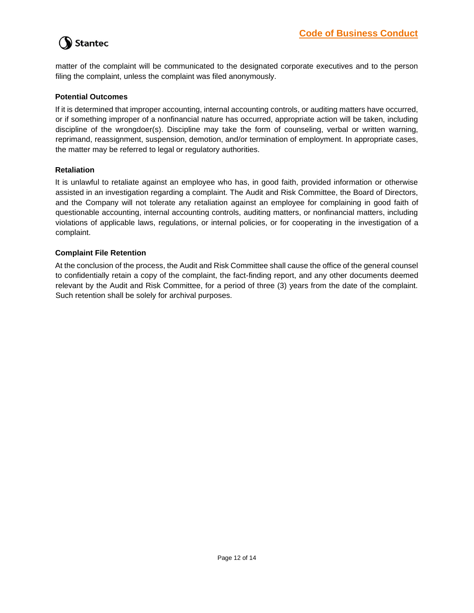matter of the complaint will be communicated to the designated corporate executives and to the person filing the complaint, unless the complaint was filed anonymously.

## **Potential Outcomes**

If it is determined that improper accounting, internal accounting controls, or auditing matters have occurred, or if something improper of a nonfinancial nature has occurred, appropriate action will be taken, including discipline of the wrongdoer(s). Discipline may take the form of counseling, verbal or written warning, reprimand, reassignment, suspension, demotion, and/or termination of employment. In appropriate cases, the matter may be referred to legal or regulatory authorities.

#### **Retaliation**

It is unlawful to retaliate against an employee who has, in good faith, provided information or otherwise assisted in an investigation regarding a complaint. The Audit and Risk Committee, the Board of Directors, and the Company will not tolerate any retaliation against an employee for complaining in good faith of questionable accounting, internal accounting controls, auditing matters, or nonfinancial matters, including violations of applicable laws, regulations, or internal policies, or for cooperating in the investigation of a complaint.

### **Complaint File Retention**

At the conclusion of the process, the Audit and Risk Committee shall cause the office of the general counsel to confidentially retain a copy of the complaint, the fact-finding report, and any other documents deemed relevant by the Audit and Risk Committee, for a period of three (3) years from the date of the complaint. Such retention shall be solely for archival purposes.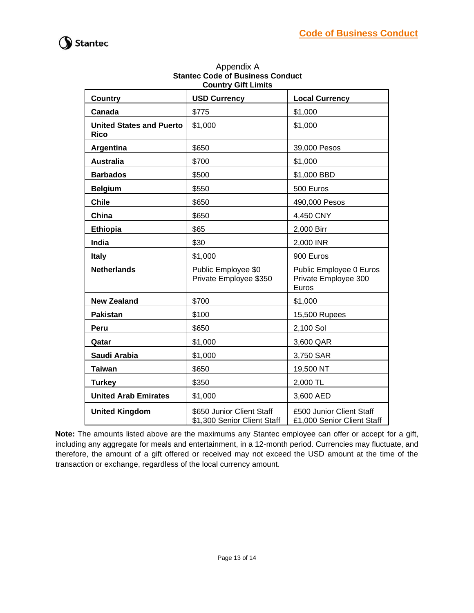

| <b>COUNTLY GITT LIMITS</b>                     |                                                          |                                                          |  |  |  |
|------------------------------------------------|----------------------------------------------------------|----------------------------------------------------------|--|--|--|
| <b>Country</b>                                 | <b>USD Currency</b>                                      | <b>Local Currency</b>                                    |  |  |  |
| Canada                                         | \$775                                                    | \$1,000                                                  |  |  |  |
| <b>United States and Puerto</b><br><b>Rico</b> | \$1,000                                                  | \$1,000                                                  |  |  |  |
| Argentina                                      | \$650                                                    | 39,000 Pesos                                             |  |  |  |
| <b>Australia</b>                               | \$700                                                    | \$1,000                                                  |  |  |  |
| <b>Barbados</b>                                | \$500                                                    | \$1,000 BBD                                              |  |  |  |
| <b>Belgium</b>                                 | \$550                                                    | 500 Euros                                                |  |  |  |
| <b>Chile</b>                                   | \$650                                                    | 490,000 Pesos                                            |  |  |  |
| China                                          | \$650                                                    | 4,450 CNY                                                |  |  |  |
| <b>Ethiopia</b>                                | \$65                                                     | 2,000 Birr                                               |  |  |  |
| India                                          | \$30                                                     | 2,000 INR                                                |  |  |  |
| <b>Italy</b>                                   | \$1,000                                                  | 900 Euros                                                |  |  |  |
| <b>Netherlands</b>                             | Public Employee \$0<br>Private Employee \$350            | Public Employee 0 Euros<br>Private Employee 300<br>Euros |  |  |  |
| <b>New Zealand</b>                             | \$700                                                    | \$1,000                                                  |  |  |  |
| <b>Pakistan</b>                                | \$100                                                    | 15,500 Rupees                                            |  |  |  |
| Peru                                           | \$650                                                    | 2,100 Sol                                                |  |  |  |
| Qatar                                          | \$1,000                                                  | 3,600 QAR                                                |  |  |  |
| Saudi Arabia                                   | \$1,000                                                  | 3,750 SAR                                                |  |  |  |
| <b>Taiwan</b>                                  | \$650                                                    | 19,500 NT                                                |  |  |  |
| <b>Turkey</b>                                  | \$350                                                    | 2,000 TL                                                 |  |  |  |
| <b>United Arab Emirates</b>                    | \$1,000                                                  | 3,600 AED                                                |  |  |  |
| <b>United Kingdom</b>                          | \$650 Junior Client Staff<br>\$1,300 Senior Client Staff | £500 Junior Client Staff<br>£1,000 Senior Client Staff   |  |  |  |

### Appendix A **Stantec Code of Business Conduct Country Gift Limits**

**Note:** The amounts listed above are the maximums any Stantec employee can offer or accept for a gift, including any aggregate for meals and entertainment, in a 12-month period. Currencies may fluctuate, and therefore, the amount of a gift offered or received may not exceed the USD amount at the time of the transaction or exchange, regardless of the local currency amount.